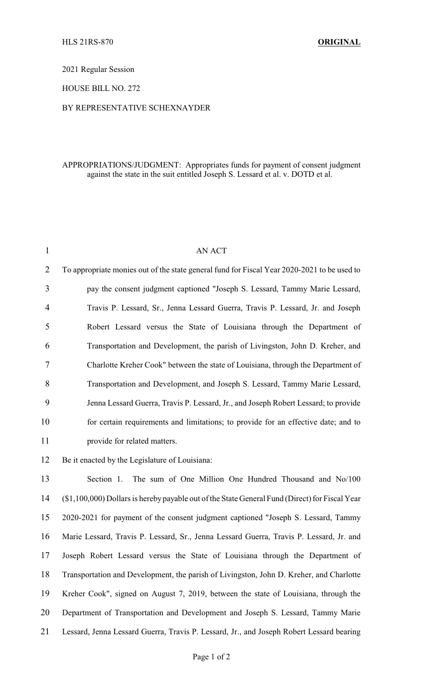2021 Regular Session

HOUSE BILL NO. 272

## BY REPRESENTATIVE SCHEXNAYDER

## APPROPRIATIONS/JUDGMENT: Appropriates funds for payment of consent judgment against the state in the suit entitled Joseph S. Lessard et al. v. DOTD et al.

| $\mathbf{1}$   | AN ACT                                                                                      |
|----------------|---------------------------------------------------------------------------------------------|
| 2              | To appropriate monies out of the state general fund for Fiscal Year 2020-2021 to be used to |
| 3              | pay the consent judgment captioned "Joseph S. Lessard, Tammy Marie Lessard,                 |
| $\overline{4}$ | Travis P. Lessard, Sr., Jenna Lessard Guerra, Travis P. Lessard, Jr. and Joseph             |
| 5              | Robert Lessard versus the State of Louisiana through the Department of                      |
| 6              | Transportation and Development, the parish of Livingston, John D. Kreher, and               |
| 7              | Charlotte Kreher Cook" between the state of Louisiana, through the Department of            |
| 8              | Transportation and Development, and Joseph S. Lessard, Tammy Marie Lessard,                 |
| 9              | Jenna Lessard Guerra, Travis P. Lessard, Jr., and Joseph Robert Lessard; to provide         |
| 10             | for certain requirements and limitations; to provide for an effective date; and to          |
| 11             | provide for related matters.                                                                |
| 12             | Be it enacted by the Legislature of Louisiana:                                              |

 Section 1. The sum of One Million One Hundred Thousand and No/100 (\$1,100,000) Dollars is herebypayable out of the State General Fund (Direct) for Fiscal Year 2020-2021 for payment of the consent judgment captioned "Joseph S. Lessard, Tammy Marie Lessard, Travis P. Lessard, Sr., Jenna Lessard Guerra, Travis P. Lessard, Jr. and Joseph Robert Lessard versus the State of Louisiana through the Department of Transportation and Development, the parish of Livingston, John D. Kreher, and Charlotte Kreher Cook", signed on August 7, 2019, between the state of Louisiana, through the Department of Transportation and Development and Joseph S. Lessard, Tammy Marie Lessard, Jenna Lessard Guerra, Travis P. Lessard, Jr., and Joseph Robert Lessard bearing